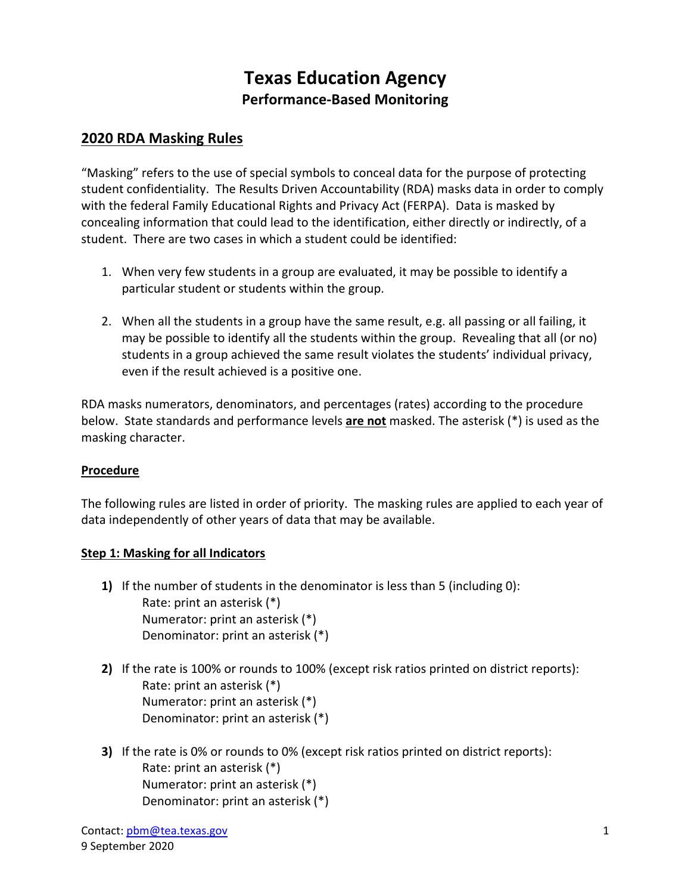# **Texas Education Agency Performance-Based Monitoring**

# **2020 RDA Masking Rules**

 student confidentiality. The Results Driven Accountability (RDA) masks data in order to comply with the federal Family Educational Rights and Privacy Act (FERPA). Data is masked by "Masking" refers to the use of special symbols to conceal data for the purpose of protecting concealing information that could lead to the identification, either directly or indirectly, of a student. There are two cases in which a student could be identified:

- 1. When very few students in a group are evaluated, it may be possible to identify a particular student or students within the group.
- 2. When all the students in a group have the same result, e.g. all passing or all failing, it may be possible to identify all the students within the group. Revealing that all (or no) students in a group achieved the same result violates the students' individual privacy, even if the result achieved is a positive one.

 RDA masks numerators, denominators, and percentages (rates) according to the procedure below. State standards and performance levels **are not** masked. The asterisk (\*) is used as the masking character.

#### **Procedure**

 The following rules are listed in order of priority. The masking rules are applied to each year of data independently of other years of data that may be available.

#### **Step 1: Masking for all Indicators**

- **1)** If the number of students in the denominator is less than 5 (including 0): Rate: print an asterisk (\*) Numerator: print an asterisk (\*) Denominator: print an asterisk (\*)
- **2)** If the rate is 100% or rounds to 100% (except risk ratios printed on district reports): Rate: print an asterisk (\*) Numerator: print an asterisk (\*) Denominator: print an asterisk (\*)
- **3)** If the rate is 0% or rounds to 0% (except risk ratios printed on district reports): Rate: print an asterisk (\*) Numerator: print an asterisk (\*) Denominator: print an asterisk (\*)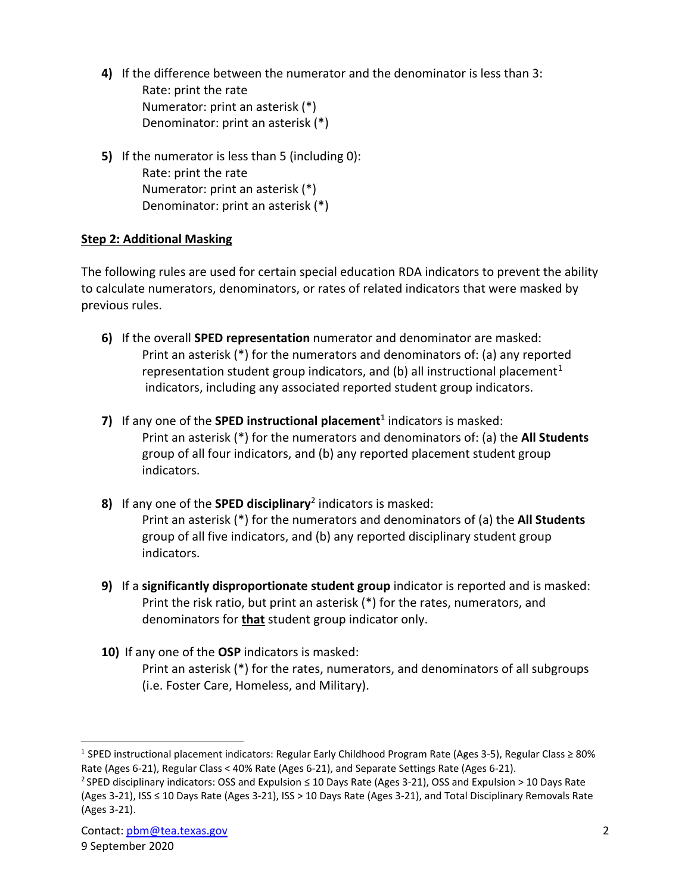**4)** If the difference between the numerator and the denominator is less than 3:

Rate: print the rate Numerator: print an asterisk (\*) Denominator: print an asterisk (\*)

**5)** If the numerator is less than 5 (including 0): Rate: print the rate Numerator: print an asterisk (\*) Denominator: print an asterisk (\*)

## **Step 2: Additional Masking**

 The following rules are used for certain special education RDA indicators to prevent the ability to calculate numerators, denominators, or rates of related indicators that were masked by previous rules.

- **6)** If the overall **SPED representation** numerator and denominator are masked: Print an asterisk (\*) for the numerators and denominators of: (a) any reported representation student group indicators, and (b) all instructional placement<sup>1</sup> indicators, including any associated reported student group indicators.
- **7)** If any one of the **SPED instructional placement**<sup>1</sup> indicators is masked: Print an asterisk (\*) for the numerators and denominators of: (a) the **All Students**  group of all four indicators, and (b) any reported placement student group indicators.
- Print an asterisk (\*) for the numerators and denominators of (a) the **All Students 8)** If any one of the **SPED disciplinary**2 indicators is masked: group of all five indicators, and (b) any reported disciplinary student group indicators.
- Print the risk ratio, but print an asterisk (\*) for the rates, numerators, and **9)** If a **significantly disproportionate student group** indicator is reported and is masked: denominators for **that** student group indicator only.
- **10)** If any one of the **OSP** indicators is masked: Print an asterisk (\*) for the rates, numerators, and denominators of all subgroups (i.e. Foster Care, Homeless, and Military).

<span id="page-1-0"></span><sup>&</sup>lt;sup>1</sup> SPED instructional placement indicators: Regular Early Childhood Program Rate (Ages 3-5), Regular Class ≥ 80% Rate (Ages 6-21), Regular Class < 40% Rate (Ages 6-21), and Separate Settings Rate (Ages 6-21). Rate (Ages 6-21), Regular Class < 40% Rate (Ages 6-21), and Separate Settings Rate (Ages 6-21).<br><sup>2</sup> SPED disciplinary indicators: OSS and Expulsion ≤ 10 Days Rate (Ages 3-21), OSS and Expulsion > 10 Days Rate

 (Ages 3-21), ISS ≤ 10 Days Rate (Ages 3-21), ISS > 10 Days Rate (Ages 3-21), and Total Disciplinary Removals Rate (Ages 3-21).